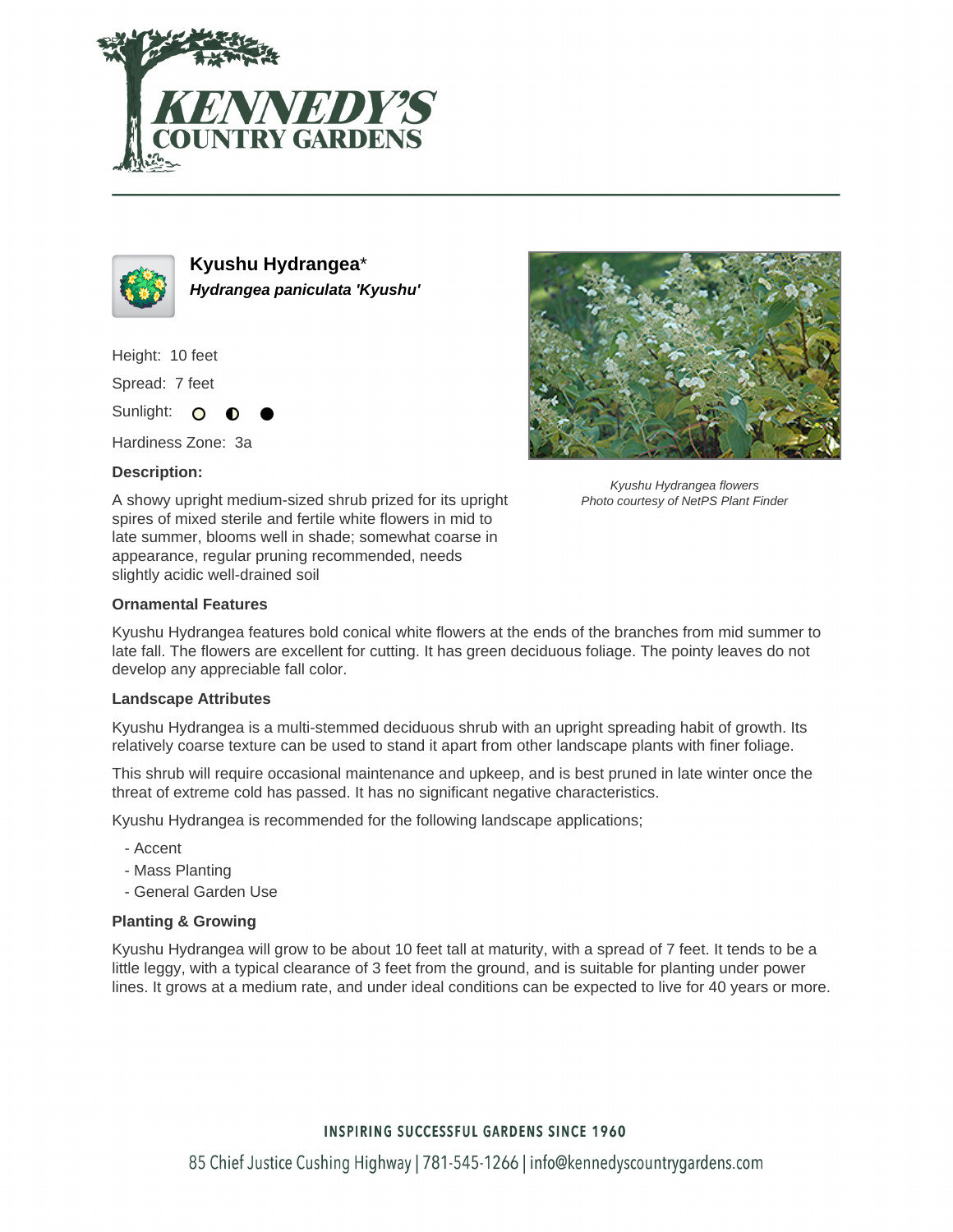



**Kyushu Hydrangea**\* **Hydrangea paniculata 'Kyushu'**

Height: 10 feet

Spread: 7 feet

Sunlight: O ∩

Hardiness Zone: 3a

## **Description:**



Kyushu Hydrangea flowers Photo courtesy of NetPS Plant Finder

A showy upright medium-sized shrub prized for its upright spires of mixed sterile and fertile white flowers in mid to late summer, blooms well in shade; somewhat coarse in appearance, regular pruning recommended, needs slightly acidic well-drained soil

# **Ornamental Features**

Kyushu Hydrangea features bold conical white flowers at the ends of the branches from mid summer to late fall. The flowers are excellent for cutting. It has green deciduous foliage. The pointy leaves do not develop any appreciable fall color.

### **Landscape Attributes**

Kyushu Hydrangea is a multi-stemmed deciduous shrub with an upright spreading habit of growth. Its relatively coarse texture can be used to stand it apart from other landscape plants with finer foliage.

This shrub will require occasional maintenance and upkeep, and is best pruned in late winter once the threat of extreme cold has passed. It has no significant negative characteristics.

Kyushu Hydrangea is recommended for the following landscape applications;

- Accent
- Mass Planting
- General Garden Use

# **Planting & Growing**

Kyushu Hydrangea will grow to be about 10 feet tall at maturity, with a spread of 7 feet. It tends to be a little leggy, with a typical clearance of 3 feet from the ground, and is suitable for planting under power lines. It grows at a medium rate, and under ideal conditions can be expected to live for 40 years or more.

# **INSPIRING SUCCESSFUL GARDENS SINCE 1960**